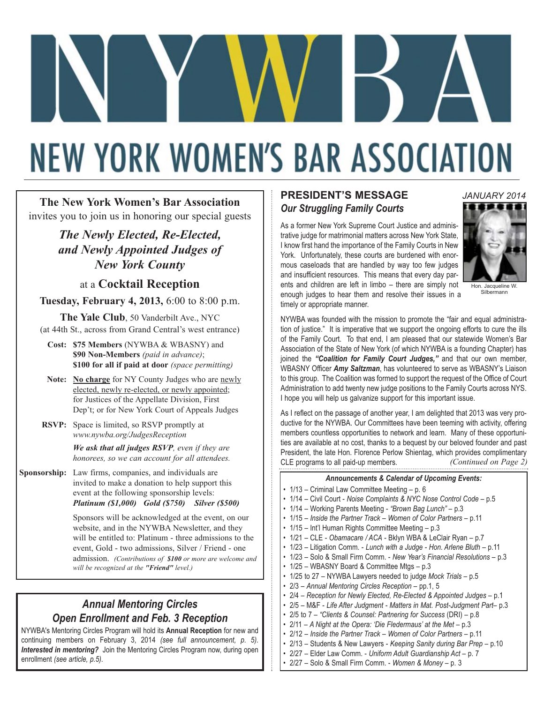# **NEW YORK WOMEN'S BAR ASSOCIATION**

**The New York Women's Bar Association** invites you to join us in honoring our special guests

> *The Newly Elected, Re-Elected, and Newly Appointed Judges of New York County*

> > at a **Cocktail Reception**

**Tuesday, February 4, 2013,** 6:00 to 8:00 p.m.

**The Yale Club**, 50 Vanderbilt Ave., NYC (at 44th St., across from Grand Central's west entrance)

**Cost: \$75 Members** (NYWBA & WBASNY) and **\$90 Non-Members** *(paid in advance)*; **\$100 for all if paid at door** *(space permitting)*

- **Note: No charge** for NY County Judges who are newly elected, newly re-elected, or newly appointed; for Justices of the Appellate Division, First Dep't; or for New York Court of Appeals Judges
- **RSVP:** Space is limited, so RSVP promptly at *www.nywba.org/JudgesReception*

*We ask that all judges RSVP, even if they are honorees, so we can account for all attendees.*

**Sponsorship:** Law firms, companies, and individuals are invited to make a donation to help support this event at the following sponsorship levels: *Platinum (\$1,000) Gold (\$750) Silver (\$500)*

> Sponsors will be acknowledged at the event, on our website, and in the NYWBA Newsletter, and they will be entitled to: Platinum - three admissions to the event, Gold - two admissions, Silver / Friend - one admission. *(Contributions of \$100 or more are welcome and will be recognized at the "Friend" level.)*

# *Annual Mentoring Circles Open Enrollment and Feb. 3 Reception*

NYWBA's Mentoring Circles Program will hold its **Annual Reception** for new and continuing members on February 3, 2014 *(see full announcement, p. 5)*. *Interested in mentoring?* Join the Mentoring Circles Program now, during open enrollment *(see article, p.5)*.

### **PRESIDENT'S MESSAGE** *Our Struggling Family Courts*

As a former New York Supreme Court Justice and administrative judge for matrimonial matters across New York State, I know first hand the importance of the Family Courts in New York. Unfortunately, these courts are burdened with enormous caseloads that are handled by way too few judges and insufficient resources. This means that every day parents and children are left in limbo – there are simply not enough judges to hear them and resolve their issues in a timely or appropriate manner.





Hon. Jacqueline W. Silbermann

NYWBA was founded with the mission to promote the "fair and equal administration of justice." It is imperative that we support the ongoing efforts to cure the ills of the Family Court. To that end, I am pleased that our statewide Women's Bar Association of the State of New York (of which NYWBA is a founding Chapter) has joined the *"Coalition for Family Court Judges,"* and that our own member, WBASNY Officer *Amy Saltzman*, has volunteered to serve as WBASNY's Liaison to this group. The Coalition was formed to support the request of the Office of Court Administration to add twenty new judge positions to the Family Courts across NYS. I hope you will help us galvanize support for this important issue.

As I reflect on the passage of another year, I am delighted that 2013 was very productive for the NYWBA. Our Committees have been teeming with activity, offering members countless opportunities to network and learn. Many of these opportunities are available at no cost, thanks to a bequest by our beloved founder and past President, the late Hon. Florence Perlow Shientag, which provides complimentary CLE programs to all paid-up members. *(Continued on Page 2)*

#### *Announcements & Calendar of Upcoming Events:*

- 1/13 Criminal Law Committee Meeting p. 6
- 1/14 Civil Court *Noise Complaints & NYC Nose Control Code* p.5
- 1/14 Working Parents Meeting *"Brown Bag Lunch"*  p.3
- 1/15 *Inside the Partner Track Women of Color Partners* p.11
- 1/15 Int'l Human Rights Committee Meeting p.3
- 1/21 CLE *Obamacare / ACA* Bklyn WBA & LeClair Ryan p.7
- 1/23 Litigation Comm. *Lunch with a Judge Hon. Arlene Bluth* p.11
- 1/23 Solo & Small Firm Comm. *New Year's Financial Resolutions* p.3
- 1/25 WBASNY Board & Committee Mtgs p.3
- 1/25 to 27 NYWBA Lawyers needed to judge *Mock Trials* p.5
- 2/3 *Annual Mentoring Circles Reception* pp.1, 5
- 2/4 Reception for Newly Elected, Re-Elected & Appointed Judges p.1
- 2/5 M&F *Life After Judgment Matters in Mat. Post-Judgment Part* p.3
- 2/5 to 7 *"Clients & Counsel: Partnering for Success* (DRI) p.8
- 2/11 A Night at the Opera: 'Die Fledermaus' at the Met p.3
- 2/12 *Inside the Partner Track Women of Color Partners* p.11
- 2/13 Students & New Lawyers *Keeping Sanity during Bar Prep* p.10
- 2/27 Elder Law Comm. *Uniform Adult Guardianship Act* p. 7
- 2/27 Solo & Small Firm Comm. *Women & Money* p. 3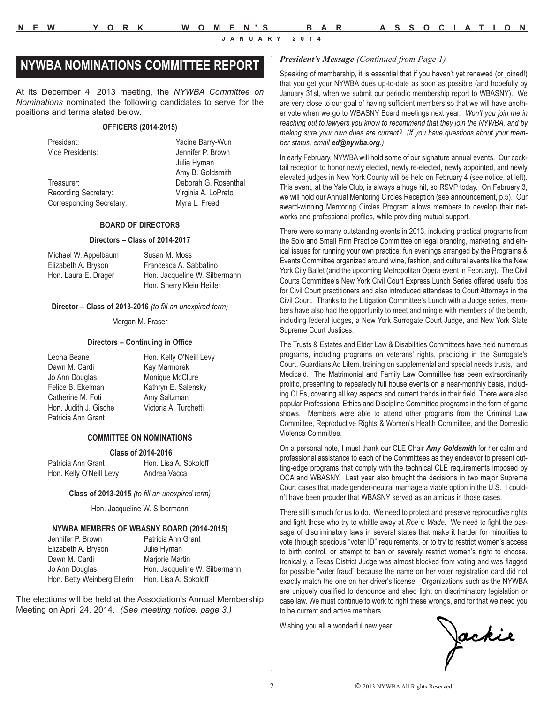# *President's Message (Continued from Page 1)* **NYWBA NOMINATIONS COMMITTEE REPORT**

At its December 4, 2013 meeting, the *NYWBA Committee on Nominations* nominated the following candidates to serve for the positions and terms stated below.

#### **OFFICERS (2014-2015)**

President: Yacine Barry-Wun

Treasurer: Deborah G. Rosenthal Recording Secretary: Virginia A. LoPreto Corresponding Secretary: Myra L. Freed

Vice Presidents: Jennifer P. Brown Julie Hyman Amy B. Goldsmith

#### **BOARD OF DIRECTORS**

#### **Directors – Class of 2014-2017**

| Michael W. Appelbaum | Susan M. Moss                 |
|----------------------|-------------------------------|
| Elizabeth A. Bryson  | Francesca A. Sabbatino        |
| Hon. Laura E. Drager | Hon. Jacqueline W. Silbermann |
|                      | Hon. Sherry Klein Heitler     |

#### **Director – Class of 2013-2016** *(to fill an unexpired term)*

Morgan M. Fraser

#### **Directors – Continuing in Office**

Leona Beane **Hon.** Kelly O'Neill Levy Dawn M. Cardi Kay Marmorek Jo Ann Douglas Monique McClure Felice B. Ekelman Kathryn E. Salensky Catherine M. Foti **Amy Saltzman** Hon. Judith J. Gische Victoria A. Turchetti Patricia Ann Grant

#### **COMMITTEE ON NOMINATIONS**

#### **Class of 2014-2016**

Hon. Kelly O'Neill Levy

| Patricia Ann Grant     | Hon. Lisa A. Sokoloff |
|------------------------|-----------------------|
| Hon Kelly O'Neill Levy | Andrea Vacca          |

#### **Class of 2013-2015** *(to fill an unexpired term)*

Hon. Jacqueline W. Silbermann

#### **NYWBA MEMBERS OF WBASNY BOARD (2014-2015)**

| Jennifer P. Brown           | Patricia Ann Grant            |
|-----------------------------|-------------------------------|
| Elizabeth A. Bryson         | Julie Hyman                   |
| Dawn M. Cardi               | Marjorie Martin               |
| Jo Ann Douglas              | Hon. Jacqueline W. Silbermann |
| Hon. Betty Weinberg Ellerin | Hon. Lisa A. Sokoloff         |

The elections will be held at the Association's Annual Membership Meeting on April 24, 2014. *(See meeting notice, page 3.)*

Speaking of membership, it is essential that if you haven't yet renewed (or joined!) that you get your NYWBA dues up-to-date as soon as possible (and hopefully by January 31st, when we submit our periodic membership report to WBASNY). We are very close to our goal of having sufficient members so that we will have another vote when we go to WBASNY Board meetings next year. *Won't you join me in reaching out to lawyers you know to recommend that they join the NYWBA, and by making sure your own dues are current? (If you have questions about your member status, email ed@nywba.org.)*

In early February, NYWBA will hold some of our signature annual events. Our cocktail reception to honor newly elected, newly re-elected, newly appointed, and newly elevated judges in New York County will be held on February 4 (see notice, at left). This event, at the Yale Club, is always a huge hit, so RSVP today. On February 3, we will hold our Annual Mentoring Circles Reception (see announcement, p.5). Our award-winning Mentoring Circles Program allows members to develop their networks and professional profiles, while providing mutual support.

There were so many outstanding events in 2013, including practical programs from the Solo and Small Firm Practice Committee on legal branding, marketing, and ethical issues for running your own practice; fun evenings arranged by the Programs & Events Committee organized around wine, fashion, and cultural events like the New York City Ballet (and the upcoming Metropolitan Opera event in February). The Civil Courts Committee's New York Civil Court Express Lunch Series offered useful tips for Civil Court practitioners and also introduced attendees to Court Attorneys in the Civil Court. Thanks to the Litigation Committee's Lunch with a Judge series, members have also had the opportunity to meet and mingle with members of the bench, including federal judges, a New York Surrogate Court Judge, and New York State Supreme Court Justices.

The Trusts & Estates and Elder Law & Disabilities Committees have held numerous programs, including programs on veterans' rights, practicing in the Surrogate's Court, Guardians Ad Litem, training on supplemental and special needs trusts, and Medicaid. The Matrimonial and Family Law Committee has been extraordinarily prolific, presenting to repeatedly full house events on a near-monthly basis, including CLEs, covering all key aspects and current trends in their field. There were also popular Professional Ethics and Discipline Committee programs in the form of game shows. Members were able to attend other programs from the Criminal Law Committee, Reproductive Rights & Women's Health Committee, and the Domestic Violence Committee.

On a personal note, I must thank our CLE Chair *Amy Goldsmith* for her calm and professional assistance to each of the Committees as they endeavor to present cutting-edge programs that comply with the technical CLE requirements imposed by OCA and WBASNY. Last year also brought the decisions in two major Supreme Court cases that made gender-neutral marriage a viable option in the U.S. I couldn't have been prouder that WBASNY served as an amicus in those cases.

There still is much for us to do. We need to protect and preserve reproductive rights and fight those who try to whittle away at *Roe v. Wade*. We need to fight the passage of discriminatory laws in several states that make it harder for minorities to vote through specious "voter ID" requirements, or to try to restrict women's access to birth control, or attempt to ban or severely restrict women's right to choose. Ironically, a Texas District Judge was almost blocked from voting and was flagged for possible "voter fraud" because the name on her voter registration card did not exactly match the one on her driver's license. Organizations such as the NYWBA are uniquely qualified to denounce and shed light on discriminatory legislation or case law. We must continue to work to right these wrongs, and for that we need you to be current and active members.

Wishing you all a wonderful new year!

Jackie<br>F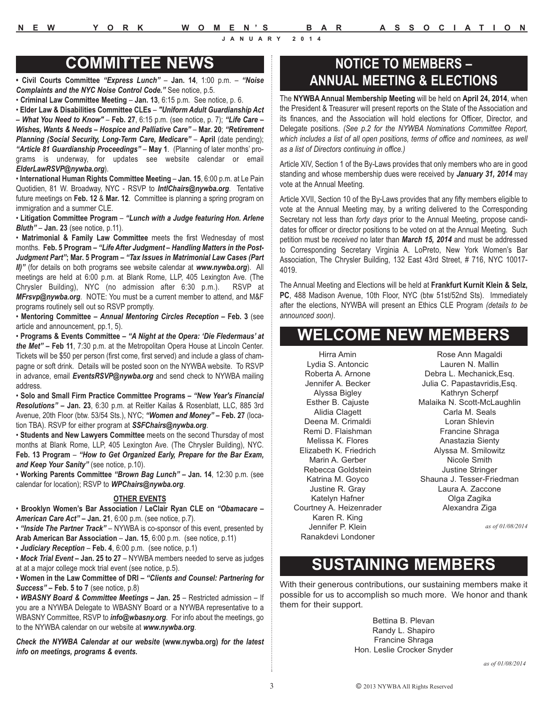# **COMMITTEE NEWS**

**• Civil Courts Committee** *"Express Lunch"* – **Jan. 14**, 1:00 p.m. – *"Noise Complaints and the NYC Noise Control Code."* See notice, p.5.

• **Criminal Law Committee Meeting** – **Jan. 13**, 6:15 p.m. See notice, p. 6.

• **Elder Law & Disabilities Committee CLEs** – *"Uniform Adult Guardianship Act*

*– What You Need to Know"* – **Feb. 27**, 6:15 p.m. (see notice, p. 7); *"Life Care – Wishes, Wants & Needs – Hospice and Palliative Care"* – **Mar. 20**; *"Retirement Planning (Social Security, Long-Term Care, Medicare"* – **April** (date pending); *"Article 81 Guardianship Proceedings"* – **May 1**. (Planning of later months' programs is underway, for updates see website calendar or email *ElderLawRSVP@nywba.org*).

• **International Human Rights Committee Meeting** – **Jan. 15**, 6:00 p.m. at Le Pain Quotidien, 81 W. Broadway, NYC - RSVP to *IntlChairs@nywba.org*. Tentative future meetings on **Feb. 12** & **Mar. 12**. Committee is planning a spring program on immigration and a summer CLE.

• **Litigation Committee Program** – *"Lunch with a Judge featuring Hon. Arlene Bluth"* – **Jan. 23** (see notice, p.11).

• **Matrimonial & Family Law Committee** meets the first Wednesday of most months. **Feb. 5 Program –** *"Life After Judgment – Handling Matters in the Post-Judgment Part"***; Mar. 5 Program –** *"Tax Issues in Matrimonial Law Cases (Part II)"* (for details on both programs see website calendar at *www.nywba.org*). All meetings are held at 6:00 p.m. at Blank Rome, LLP, 405 Lexington Ave. (The Chrysler Building), NYC (no admission after 6:30 p.m.). RSVP at *MFrsvp@nywba.org*. NOTE: You must be a current member to attend, and M&F programs routinely sell out so RSVP promptly.

• **Mentoring Committee –** *Annual Mentoring Circles Reception* **– Feb. 3** (see article and announcement, pp.1, 5).

• **Programs & Events Committee –** *"A Night at the Opera: 'Die Fledermaus' at the Met"* **– Feb 11**, 7:30 p.m. at the Metropolitan Opera House at Lincoln Center. Tickets will be \$50 per person (first come, first served) and include a glass of champagne or soft drink. Details will be posted soon on the NYWBA website. To RSVP in advance, email *EventsRSVP@nywba.org* and send check to NYWBA mailing address.

• **Solo and Small Firm Practice Committee Programs –** *"New Year's Financial Resolutions"* **– Jan. 23**, 6:30 p.m. at Reitler Kailas & Rosenblatt, LLC, 885 3rd Avenue, 20th Floor (btw. 53/54 Sts.), NYC; *"Women and Money"* **– Feb. 27** (location TBA). RSVP for either program at *SSFChairs@nywba.org*.

• **Students and New Lawyers Committee** meets on the second Thursday of most months at Blank Rome, LLP, 405 Lexington Ave. (The Chrysler Building), NYC. **Feb. 13 Program** – *"How to Get Organized Early, Prepare for the Bar Exam, and Keep Your Sanity"* (see notice, p.10).

• **Working Parents Committee** *"Brown Bag Lunch"* **– Jan. 14**, 12:30 p.m. (see calendar for location); RSVP to *WPChairs@nywba.org*.

#### **OTHER EVENTS**

• **Brooklyn Women's Bar Association / LeClair Ryan CLE on** *"Obamacare – American Care Act"* **– Jan. 21**, 6:00 p.m. (see notice, p.7).

• *"Inside The Partner Track"* – NYWBA is co-sponsor of this event, presented by **Arab American Bar Association** – **Jan. 15**, 6:00 p.m. (see notice, p.11)

• *Judiciary Reception* – **Feb. 4**, 6:00 p.m. (see notice, p.1)

• *Mock Trial Event* **– Jan. 25 to 27** – NYWBA members needed to serve as judges at at a major college mock trial event (see notice, p.5).

• **Women in the Law Committee of DRI –** *"Clients and Counsel: Partnering for Success"* **– Feb. 5 to 7** (see notice, p.8)

• *WBASNY Board & Committee Meetings* **– Jan. 25** – Restricted admission – If you are a NYWBA Delegate to WBASNY Board or a NYWBA representative to a WBASNY Committee, RSVP to *info@wbasny.org*. For info about the meetings, go to the NYWBA calendar on our website at *www.nywba.org*.

*Check the NYWBA Calendar at our website* **(www.nywba.org)** *for the latest info on meetings, programs & events.*

# **NOTICE TO MEMBERS – ANNUAL MEETING & ELECTIONS**

The **NYWBA Annual Membership Meeting** will be held on **April 24, 2014**, when the President & Treasurer will present reports on the State of the Association and its finances, and the Association will hold elections for Officer, Director, and Delegate positions. *(See p.2 for the NYWBA Nominations Committee Report, which includes a list of all open positions, terms of office and nominees, as well as a list of Directors continuing in office.)*

Article XIV, Section 1 of the By-Laws provides that only members who are in good standing and whose membership dues were received by *January 31, 2014* may vote at the Annual Meeting.

Article XVII, Section 10 of the By-Laws provides that any fifty members eligible to vote at the Annual Meeting may, by a writing delivered to the Corresponding Secretary not less than *forty days* prior to the Annual Meeting, propose candidates for officer or director positions to be voted on at the Annual Meeting. Such petition must be *received* no later than *March 15, 2014* and must be addressed to Corresponding Secretary Virginia A. LoPreto, New York Women's Bar Association, The Chrysler Building, 132 East 43rd Street, # 716, NYC 10017- 4019.

The Annual Meeting and Elections will be held at **Frankfurt Kurnit Klein & Selz, PC**, 488 Madison Avenue, 10th Floor, NYC (btw 51st/52nd Sts). Immediately after the elections, NYWBA will present an Ethics CLE Program *(details to be announced soon).*

# **WELCOME NEW MEMBERS**

Hirra Amin Lydia S. Antoncic Roberta A. Arnone Jennifer A. Becker Alyssa Bigley Esther B. Cajuste Alidia Clagett Deena M. Crimaldi Remi D. Flaishman Melissa K. Flores Elizabeth K. Friedrich Marin A. Gerber Rebecca Goldstein Katrina M. Goyco Justine R. Gray Katelyn Hafner Courtney A. Heizenrader Karen R. King Jennifer P. Klein Ranakdevi Londoner

Rose Ann Magaldi Lauren N. Mallin Debra L. Mechanick,Esq. Julia C. Papastavridis,Esq. Kathryn Scherpf Malaika N. Scott-McLaughlin Carla M. Seals Loran Shlevin Francine Shraga Anastazia Sienty Alyssa M. Smilowitz Nicole Smith Justine Stringer Shauna J. Tesser-Friedman Laura A. Zaccone Olga Zagika Alexandra Ziga

*as of 01/08/2014*

# **SUSTAINING MEMBERS**

With their generous contributions, our sustaining members make it possible for us to accomplish so much more. We honor and thank them for their support.

> Bettina B. Plevan Randy L. Shapiro Francine Shraga Hon. Leslie Crocker Snyder

> > *as of 01/08/2014*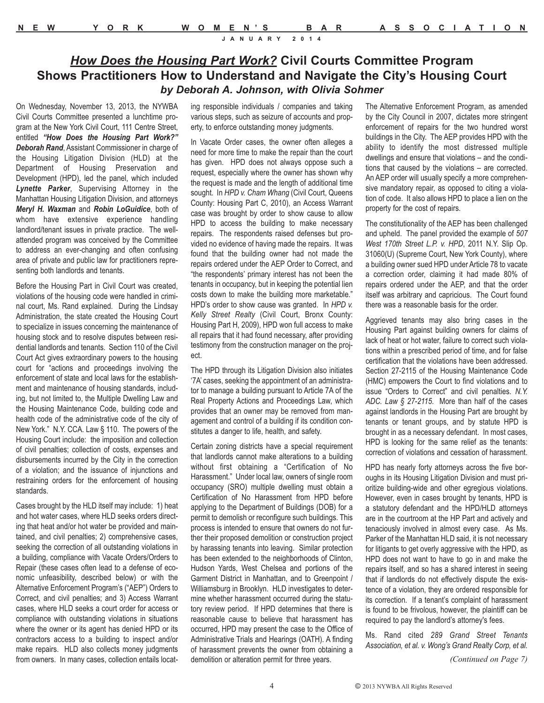# *How Does the Housing Part Work?* **Civil Courts Committee Program Shows Practitioners How to Understand and Navigate the City's Housing Court** *by Deborah A. Johnson, with Olivia Sohmer*

On Wednesday, November 13, 2013, the NYWBA Civil Courts Committee presented a lunchtime program at the New York Civil Court, 111 Centre Street, entitled *"How Does the Housing Part Work?" Deborah Rand*, Assistant Commissioner in charge of the Housing Litigation Division (HLD) at the Department of Housing Preservation and Development (HPD), led the panel, which included *Lynette Parker*, Supervising Attorney in the Manhattan Housing Litigation Division, and attorneys *Meryl H. Waxman* and *Robin LoGuidice*, both of whom have extensive experience handling landlord/tenant issues in private practice. The wellattended program was conceived by the Committee to address an ever-changing and often confusing area of private and public law for practitioners representing both landlords and tenants.

Before the Housing Part in Civil Court was created, violations of the housing code were handled in criminal court, Ms. Rand explained. During the Lindsay Administration, the state created the Housing Court to specialize in issues concerning the maintenance of housing stock and to resolve disputes between residential landlords and tenants. Section 110 of the Civil Court Act gives extraordinary powers to the housing court for "actions and proceedings involving the enforcement of state and local laws for the establishment and maintenance of housing standards, including, but not limited to, the Multiple Dwelling Law and the Housing Maintenance Code, building code and health code of the administrative code of the city of New York." N.Y. CCA. Law § 110. The powers of the Housing Court include: the imposition and collection of civil penalties; collection of costs, expenses and disbursements incurred by the City in the correction of a violation; and the issuance of injunctions and restraining orders for the enforcement of housing standards.

Cases brought by the HLD itself may include: 1) heat and hot water cases, where HLD seeks orders directing that heat and/or hot water be provided and maintained, and civil penalties; 2) comprehensive cases, seeking the correction of all outstanding violations in a building, compliance with Vacate Orders/Orders to Repair (these cases often lead to a defense of economic unfeasibility, described below) or with the Alternative Enforcement Program's ("AEP") Orders to Correct, and civil penalties; and 3) Access Warrant cases, where HLD seeks a court order for access or compliance with outstanding violations in situations where the owner or its agent has denied HPD or its contractors access to a building to inspect and/or make repairs. HLD also collects money judgments from owners. In many cases, collection entails locat-

ing responsible individuals / companies and taking various steps, such as seizure of accounts and property, to enforce outstanding money judgments.

In Vacate Order cases, the owner often alleges a need for more time to make the repair than the court has given. HPD does not always oppose such a request, especially where the owner has shown why the request is made and the length of additional time sought. In *HPD v. Cham Whang* (Civil Court, Queens County: Housing Part C, 2010), an Access Warrant case was brought by order to show cause to allow HPD to access the building to make necessary repairs. The respondents raised defenses but provided no evidence of having made the repairs. It was found that the building owner had not made the repairs ordered under the AEP Order to Correct, and "the respondents' primary interest has not been the tenants in occupancy, but in keeping the potential lien costs down to make the building more marketable." HPD's order to show cause was granted. In *HPD v. Kelly Street Realty* (Civil Court, Bronx County: Housing Part H, 2009), HPD won full access to make all repairs that it had found necessary, after providing testimony from the construction manager on the project.

The HPD through its Litigation Division also initiates '7A' cases, seeking the appointment of an administrator to manage a building pursuant to Article 7A of the Real Property Actions and Proceedings Law, which provides that an owner may be removed from management and control of a building if its condition constitutes a danger to life, health, and safety.

Certain zoning districts have a special requirement that landlords cannot make alterations to a building without first obtaining a "Certification of No Harassment." Under local law, owners of single room occupancy (SRO) multiple dwelling must obtain a Certification of No Harassment from HPD before applying to the Department of Buildings (DOB) for a permit to demolish or reconfigure such buildings. This process is intended to ensure that owners do not further their proposed demolition or construction project by harassing tenants into leaving. Similar protection has been extended to the neighborhoods of Clinton, Hudson Yards, West Chelsea and portions of the Garment District in Manhattan, and to Greenpoint / Williamsburg in Brooklyn. HLD investigates to determine whether harassment occurred during the statutory review period. If HPD determines that there is reasonable cause to believe that harassment has occurred, HPD may present the case to the Office of Administrative Trials and Hearings (OATH). A finding of harassment prevents the owner from obtaining a demolition or alteration permit for three years.

The Alternative Enforcement Program, as amended by the City Council in 2007, dictates more stringent enforcement of repairs for the two hundred worst buildings in the City. The AEP provides HPD with the ability to identify the most distressed multiple dwellings and ensure that violations – and the conditions that caused by the violations – are corrected. An AEP order will usually specify a more comprehensive mandatory repair, as opposed to citing a violation of code. It also allows HPD to place a lien on the property for the cost of repairs.

The constitutionality of the AEP has been challenged and upheld. The panel provided the example of *507 West 170th Street L.P. v. HPD*, 2011 N.Y. Slip Op. 31060(U) (Supreme Court, New York County), where a building owner sued HPD under Article 78 to vacate a correction order, claiming it had made 80% of repairs ordered under the AEP, and that the order itself was arbitrary and capricious. The Court found there was a reasonable basis for the order.

Aggrieved tenants may also bring cases in the Housing Part against building owners for claims of lack of heat or hot water, failure to correct such violations within a prescribed period of time, and for false certification that the violations have been addressed. Section 27-2115 of the Housing Maintenance Code (HMC) empowers the Court to find violations and to issue "Orders to Correct" and civil penalties. *N.Y. ADC. Law § 27-2115*. More than half of the cases against landlords in the Housing Part are brought by tenants or tenant groups, and by statute HPD is brought in as a necessary defendant. In most cases, HPD is looking for the same relief as the tenants: correction of violations and cessation of harassment.

HPD has nearly forty attorneys across the five boroughs in its Housing Litigation Division and must prioritize building-wide and other egregious violations. However, even in cases brought by tenants, HPD is a statutory defendant and the HPD/HLD attorneys are in the courtroom at the HP Part and actively and tenaciously involved in almost every case. As Ms. Parker of the Manhattan HLD said, it is not necessary for litigants to get overly aggressive with the HPD, as HPD does not want to have to go in and make the repairs itself, and so has a shared interest in seeing that if landlords do not effectively dispute the existence of a violation, they are ordered responsible for its correction. If a tenant's complaint of harassment is found to be frivolous, however, the plaintiff can be required to pay the landlord's attorney's fees.

Ms. Rand cited *289 Grand Street Tenants Association, et al. v. Wong's Grand Realty Corp, et al.*

*(Continued on Page 7)*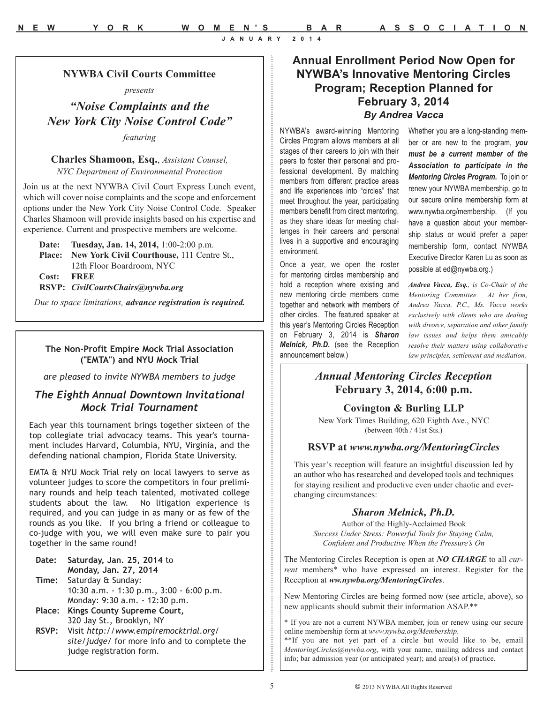**NYWBA Civil Courts Committee**  *presents*

*"Noise Complaints and the New York City Noise Control Code"*

*featuring*

**Charles Shamoon, Esq.**, *Assistant Counsel, NYC Department of Environmental Protection*

Join us at the next NYWBA Civil Court Express Lunch event, which will cover noise complaints and the scope and enforcement options under the New York City Noise Control Code. Speaker Charles Shamoon will provide insights based on his expertise and experience. Current and prospective members are welcome.

**Date: Tuesday, Jan. 14, 2014,** 1:00-2:00 p.m. **Place: New York Civil Courthouse,** 111 Centre St., 12th Floor Boardroom, NYC **Cost: FREE RSVP:** *CivilCourtsChairs@nywba.org*

*Due to space limitations, advance registration is required.*

#### **The Non-Profit Empire Mock Trial Association ("EMTA") and NYU Mock Trial**

*are pleased to invite NYWBA members to judge*

# *The Eighth Annual Downtown Invitational Mock Trial Tournament*

Each year this tournament brings together sixteen of the top collegiate trial advocacy teams. This year's tournament includes Harvard, Columbia, NYU, Virginia, and the defending national champion, Florida State University.

EMTA & NYU Mock Trial rely on local lawyers to serve as volunteer judges to score the competitors in four preliminary rounds and help teach talented, motivated college students about the law. No litigation experience is required, and you can judge in as many or as few of the rounds as you like. If you bring a friend or colleague to co-judge with you, we will even make sure to pair you together in the same round!

| Date:  | Saturday, Jan. 25, 2014 to                    |
|--------|-----------------------------------------------|
|        | Monday, Jan. 27, 2014                         |
|        | Time: Saturday & Sunday:                      |
|        | 10:30 a.m. $-1:30$ p.m., 3:00 $-6:00$ p.m.    |
|        | Monday: 9:30 a.m. - 12:30 p.m.                |
| Place: | Kings County Supreme Court,                   |
|        | 320 Jay St., Brooklyn, NY                     |
|        | RSVP: Visit http://www.empiremocktrial.org/   |
|        | site/judge/ for more info and to complete the |

judge registration form.

# **Annual Enrollment Period Now Open for NYWBA's Innovative Mentoring Circles Program; Reception Planned for February 3, 2014** *By Andrea Vacca*

NYWBA's award-winning Mentoring Circles Program allows members at all stages of their careers to join with their peers to foster their personal and professional development. By matching members from different practice areas and life experiences into "circles" that meet throughout the year, participating members benefit from direct mentoring, as they share ideas for meeting challenges in their careers and personal lives in a supportive and encouraging environment.

Once a year, we open the roster for mentoring circles membership and hold a reception where existing and new mentoring circle members come together and network with members of other circles. The featured speaker at this year's Mentoring Circles Reception on February 3, 2014 is *Sharon Melnick, Ph.D.* (see the Reception announcement below.)

Whether you are a long-standing member or are new to the program, *you must be a current member of the Association to participate in the Mentoring Circles Program.* To join or renew your NYWBA membership, go to our secure online membership form at www.nywba.org/membership. (If you have a question about your membership status or would prefer a paper membership form, contact NYWBA Executive Director Karen Lu as soon as possible at ed@nywba.org.)

*Andrea Vacca, Esq., is Co-Chair of the Mentoring Committee. At her firm, Andrea Vacca, P.C., Ms. Vacca works exclusively with clients who are dealing with divorce, separation and other family law issues and helps them amicably resolve their matters using collaborative law principles, settlement and mediation.* 

# *Annual Mentoring Circles Reception* **February 3, 2014, 6:00 p.m.**

**Covington & Burling LLP**

New York Times Building, 620 Eighth Ave., NYC (between 40th / 41st Sts.)

#### **RSVP at** *www.nywba.org/MentoringCircles*

This year's reception will feature an insightful discussion led by an author who has researched and developed tools and techniques for staying resilient and productive even under chaotic and everchanging circumstances:

#### *Sharon Melnick, Ph.D.*

Author of the Highly-Acclaimed Book *Success Under Stress: Powerful Tools for Staying Calm, Confident and Productive When the Pressure's On*

The Mentoring Circles Reception is open at *NO CHARGE* to all *current* members\* who have expressed an interest. Register for the Reception at *ww.nywba.org/MentoringCircles*.

New Mentoring Circles are being formed now (see article, above), so new applicants should submit their information ASAP.\*\*

\* If you are not a current NYWBA member, join or renew using our secure online membership form at *www.nywba.org/Membership*.

\*\*If you are not yet part of a circle but would like to be, email *MentoringCircles@nywba.org*, with your name, mailing address and contact info; bar admission year (or anticipated year); and area(s) of practice.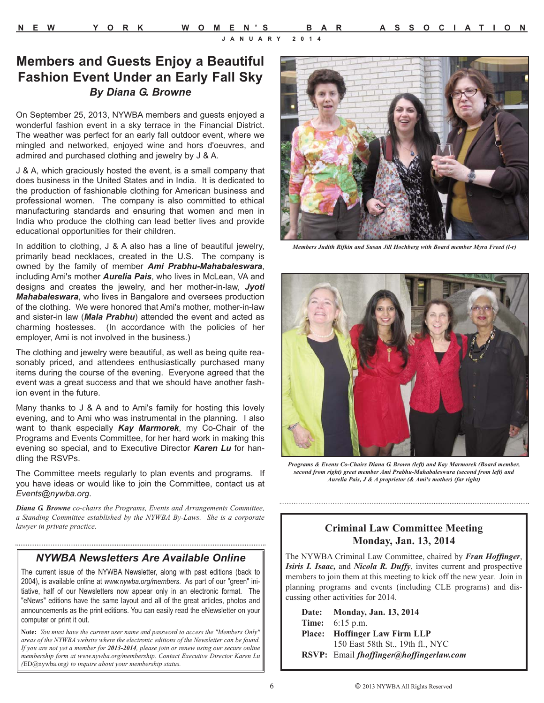# **Members and Guests Enjoy a Beautiful Fashion Event Under an Early Fall Sky** *By Diana G. Browne*

On September 25, 2013, NYWBA members and guests enjoyed a wonderful fashion event in a sky terrace in the Financial District. The weather was perfect for an early fall outdoor event, where we mingled and networked, enjoyed wine and hors d'oeuvres, and admired and purchased clothing and jewelry by J & A.

J & A, which graciously hosted the event, is a small company that does business in the United States and in India. It is dedicated to the production of fashionable clothing for American business and professional women. The company is also committed to ethical manufacturing standards and ensuring that women and men in India who produce the clothing can lead better lives and provide educational opportunities for their children.

In addition to clothing, J & A also has a line of beautiful jewelry, primarily bead necklaces, created in the U.S. The company is owned by the family of member *Ami Prabhu-Mahabaleswara*, including Ami's mother *Aurelia Pais*, who lives in McLean, VA and designs and creates the jewelry, and her mother-in-law, *Jyoti Mahabaleswara*, who lives in Bangalore and oversees production of the clothing. We were honored that Ami's mother, mother-in-law and sister-in law (*Mala Prabhu*) attended the event and acted as charming hostesses. (In accordance with the policies of her employer, Ami is not involved in the business.)

The clothing and jewelry were beautiful, as well as being quite reasonably priced, and attendees enthusiastically purchased many items during the course of the evening. Everyone agreed that the event was a great success and that we should have another fashion event in the future.

Many thanks to J & A and to Ami's family for hosting this lovely evening, and to Ami who was instrumental in the planning. I also want to thank especially *Kay Marmorek*, my Co-Chair of the Programs and Events Committee, for her hard work in making this evening so special, and to Executive Director *Karen Lu* for handling the RSVPs.

The Committee meets regularly to plan events and programs. If you have ideas or would like to join the Committee, contact us at *Events@nywba.org*.

*Diana G. Browne co-chairs the Programs, Events and Arrangements Committee, a Standing Committee established by the NYWBA By-Laws. She is a corporate lawyer in private practice.*

### *NYWBA Newsletters Are Available Online*

The current issue of the NYWBA Newsletter, along with past editions (back to 2004), is available online at *www.nywba.org/members*. As part of our "green" initiative, half of our Newsletters now appear only in an electronic format. The "eNews" editions have the same layout and all of the great articles, photos and announcements as the print editions. You can easily read the eNewsletter on your computer or print it out.

**Note:** *You must have the current user name and password to access the "Members Only" areas of the NYWBA website where the electronic editions of the Newsletter can be found. If you are not yet a member for 2013-2014, please join or renew using our secure online membership form at www.nywba.org/membership. Contact Executive Director Karen Lu (*ED@nywba.org*) to inquire about your membership status.* 



*Members Judith Rifkin and Susan Jill Hochberg with Board member Myra Freed (l-r)*



*Programs & Events Co-Chairs Diana G. Brown (left) and Kay Marmorek (Board member, second from right) greet member Ami Prabhu-Mahabaleswara (second from left) and Aurelia Pais, J & A proprietor (& Ami's mother) (far right)*

### **Criminal Law Committee Meeting Monday, Jan. 13, 2014**

The NYWBA Criminal Law Committee, chaired by *Fran Hoffinger*, *Isiris I. Isaac,* and *Nicola R. Duffy*, invites current and prospective members to join them at this meeting to kick off the new year. Join in planning programs and events (including CLE programs) and discussing other activities for 2014.

| Date: Monday, Jan. 13, 2014             |
|-----------------------------------------|
| <b>Time:</b> 6:15 p.m.                  |
| <b>Place:</b> Hoffinger Law Firm LLP    |
| 150 East 58th St., 19th fl., NYC        |
| RSVP: Email fhoffinger@hoffingerlaw.com |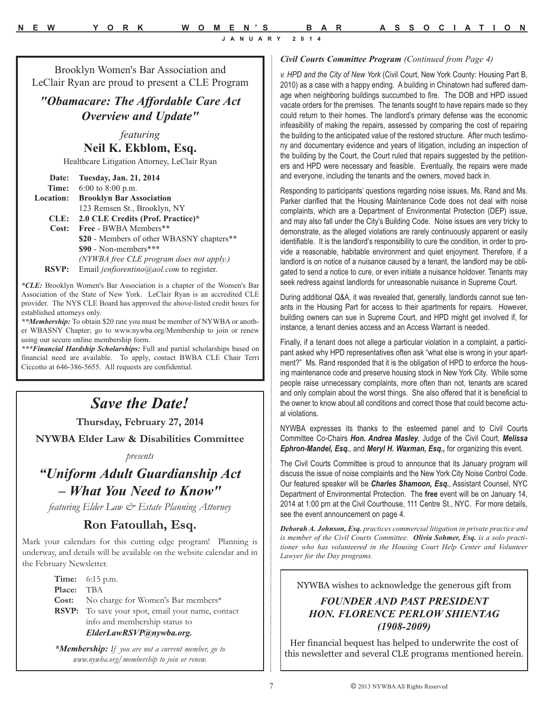Brooklyn Women's Bar Association and LeClair Ryan are proud to present a CLE Program

# *"Obamacare: The Affordable Care Act Overview and Update"*

*featuring* **Neil K. Ekblom, Esq.**

Healthcare Litigation Attorney, LeClair Ryan

| Date:            | Tuesday, Jan. 21, 2014                    |  |
|------------------|-------------------------------------------|--|
| Time:            | $6:00$ to $8:00$ p.m.                     |  |
| <b>Location:</b> | <b>Brooklyn Bar Association</b>           |  |
|                  | 123 Remsen St., Brooklyn, NY              |  |
| CLE:             | 2.0 CLE Credits (Prof. Practice)*         |  |
| Cost:            | Free - BWBA Members**                     |  |
|                  | \$20 - Members of other WBASNY chapters** |  |
|                  | \$90 - Non-members***                     |  |
|                  | (NYWBA free CLE program does not apply.)  |  |
| RSVP:            | Email jenfiorentino@aol.com to register.  |  |

*\*CLE:* Brooklyn Women's Bar Association is a chapter of the Women's Bar Association of the State of New York. LeClair Ryan is an accredited CLE provider. The NYS CLE Board has approved the above-listed credit hours for established attorneys only.

*\*\*Membership:* To obtain \$20 rate you must be member of NYWBA or another WBASNY Chapter; go to www.nywba.org/Membership to join or renew using our secure online membership form.

*\*\*\*Financial Hardship Scholarships:* Full and partial scholarships based on financial need are available. To apply, contact BWBA CLE Chair Terri Ciccotto at 646-386-5655. All requests are confidential.

# *Save the Date!*

**Thursday, February 27, 2014**

**NYWBA Elder Law & Disabilities Committee**

*presents* 

# *"Uniform Adult Guardianship Act – What You Need to Know"*

*featuring Elder Law & Estate Planning Attorney* 

# **Ron Fatoullah, Esq.**

Mark your calendars for this cutting edge program! Planning is underway, and details will be available on the website calendar and in the February Newsletter.

|                   | <b>Time:</b> $6:15 \text{ p.m.}$                         |
|-------------------|----------------------------------------------------------|
| <b>Place:</b> TBA |                                                          |
|                   | Cost: No charge for Women's Bar members*                 |
|                   | <b>RSVP:</b> To save your spot, email your name, contact |
|                   | info and membership status to                            |
|                   | ElderLawRSVP@nywba.org.                                  |

*\*Membership: If you are not a current member, go to www.nywba.org/membership to join or renew.*

#### *Civil Courts Committee Program (Continued from Page 4)*

*v. HPD and the City of New York* (Civil Court, New York County: Housing Part B, 2010) as a case with a happy ending. A building in Chinatown had suffered damage when neighboring buildings succumbed to fire. The DOB and HPD issued vacate orders for the premises. The tenants sought to have repairs made so they could return to their homes. The landlord's primary defense was the economic infeasibility of making the repairs, assessed by comparing the cost of repairing the building to the anticipated value of the restored structure. After much testimony and documentary evidence and years of litigation, including an inspection of the building by the Court, the Court ruled that repairs suggested by the petitioners and HPD were necessary and feasible. Eventually, the repairs were made and everyone, including the tenants and the owners, moved back in.

Responding to participants' questions regarding noise issues, Ms. Rand and Ms. Parker clarified that the Housing Maintenance Code does not deal with noise complaints, which are a Department of Environmental Protection (DEP) issue, and may also fall under the City's Building Code. Noise issues are very tricky to demonstrate, as the alleged violations are rarely continuously apparent or easily identifiable. It is the landlord's responsibility to cure the condition, in order to provide a reasonable, habitable environment and quiet enjoyment. Therefore, if a landlord is on notice of a nuisance caused by a tenant, the landlord may be obligated to send a notice to cure, or even initiate a nuisance holdover. Tenants may seek redress against landlords for unreasonable nuisance in Supreme Court.

During additional Q&A, it was revealed that, generally, landlords cannot sue tenants in the Housing Part for access to their apartments for repairs. However, building owners can sue in Supreme Court, and HPD might get involved if, for instance, a tenant denies access and an Access Warrant is needed.

Finally, if a tenant does not allege a particular violation in a complaint, a participant asked why HPD representatives often ask "what else is wrong in your apartment?" Ms. Rand responded that it is the obligation of HPD to enforce the housing maintenance code and preserve housing stock in New York City. While some people raise unnecessary complaints, more often than not, tenants are scared and only complain about the worst things. She also offered that it is beneficial to the owner to know about all conditions and correct those that could become actual violations.

NYWBA expresses its thanks to the esteemed panel and to Civil Courts Committee Co-Chairs *Hon. Andrea Masley*, Judge of the Civil Court, *Melissa Ephron-Mandel, Esq.*, and *Meryl H. Waxman, Esq.,* for organizing this event.

The Civil Courts Committee is proud to announce that its January program will discuss the issue of noise complaints and the New York City Noise Control Code. Our featured speaker will be *Charles Shamoon, Esq.*, Assistant Counsel, NYC Department of Environmental Protection. The **free** event will be on January 14, 2014 at 1:00 pm at the Civil Courthouse, 111 Centre St., NYC. For more details, see the event announcement on page 4.

*Deborah A. Johnson, Esq. practices commercial litigation in private practice and is member of the Civil Courts Committee. Olivia Sohmer, Esq. is a solo practitioner who has volunteered in the Housing Court Help Center and Volunteer Lawyer for the Day programs.* 

NYWBA wishes to acknowledge the generous gift from

### *FOUNDER AND PAST PRESIDENT HON. FLORENCE PERLOW SHIENTAG (1908-2009)*

Her financial bequest has helped to underwrite the cost of this newsletter and several CLE programs mentioned herein.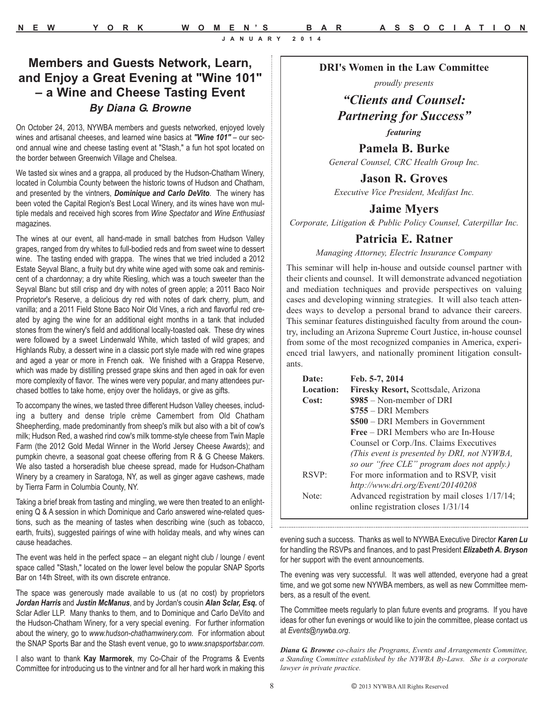# **Members and Guests Network, Learn, and Enjoy a Great Evening at "Wine 101" – a Wine and Cheese Tasting Event** *By Diana G. Browne*

On October 24, 2013, NYWBA members and guests networked, enjoyed lovely wines and artisanal cheeses, and learned wine basics at *"Wine 101"* – our second annual wine and cheese tasting event at "Stash," a fun hot spot located on the border between Greenwich Village and Chelsea.

We tasted six wines and a grappa, all produced by the Hudson-Chatham Winery, located in Columbia County between the historic towns of Hudson and Chatham, and presented by the vintners, *Dominique and Carlo DeVito*. The winery has been voted the Capital Region's Best Local Winery, and its wines have won multiple medals and received high scores from *Wine Spectator* and *Wine Enthusiast* magazines.

The wines at our event, all hand-made in small batches from Hudson Valley grapes, ranged from dry whites to full-bodied reds and from sweet wine to dessert wine. The tasting ended with grappa. The wines that we tried included a 2012 Estate Seyval Blanc, a fruity but dry white wine aged with some oak and reminiscent of a chardonnay; a dry white Riesling, which was a touch sweeter than the Seyval Blanc but still crisp and dry with notes of green apple; a 2011 Baco Noir Proprietor's Reserve, a delicious dry red with notes of dark cherry, plum, and vanilla; and a 2011 Field Stone Baco Noir Old Vines, a rich and flavorful red created by aging the wine for an additional eight months in a tank that included stones from the winery's field and additional locally-toasted oak. These dry wines were followed by a sweet Lindenwald White, which tasted of wild grapes; and Highlands Ruby, a dessert wine in a classic port style made with red wine grapes and aged a year or more in French oak. We finished with a Grappa Reserve, which was made by distilling pressed grape skins and then aged in oak for even more complexity of flavor. The wines were very popular, and many attendees purchased bottles to take home, enjoy over the holidays, or give as gifts.

To accompany the wines, we tasted three different Hudson Valley cheeses, including a buttery and dense triple crème Camembert from Old Chatham Sheepherding, made predominantly from sheep's milk but also with a bit of cow's milk; Hudson Red, a washed rind cow's milk tomme-style cheese from Twin Maple Farm (the 2012 Gold Medal Winner in the World Jersey Cheese Awards); and pumpkin chevre, a seasonal goat cheese offering from R & G Cheese Makers. We also tasted a horseradish blue cheese spread, made for Hudson-Chatham Winery by a creamery in Saratoga, NY, as well as ginger agave cashews, made by Tierra Farm in Columbia County, NY.

Taking a brief break from tasting and mingling, we were then treated to an enlightening Q & A session in which Dominique and Carlo answered wine-related questions, such as the meaning of tastes when describing wine (such as tobacco, earth, fruits), suggested pairings of wine with holiday meals, and why wines can cause headaches.

The event was held in the perfect space – an elegant night club / lounge / event space called "Stash," located on the lower level below the popular SNAP Sports Bar on 14th Street, with its own discrete entrance.

The space was generously made available to us (at no cost) by proprietors *Jordan Harris* and *Justin McManus*, and by Jordan's cousin *Alan Sclar, Esq.* of Sclar Adler LLP. Many thanks to them, and to Dominique and Carlo DeVito and the Hudson-Chatham Winery, for a very special evening. For further information about the winery, go to *www.hudson-chathamwinery.com*. For information about the SNAP Sports Bar and the Stash event venue, go to *www.snapsportsbar.com*.

I also want to thank **Kay Marmorek**, my Co-Chair of the Programs & Events Committee for introducing us to the vintner and for all her hard work in making this

#### **DRI's Women in the Law Committee**

*proudly presents*

# *"Clients and Counsel: Partnering for Success"*

*featuring*

**Pamela B. Burke** *General Counsel, CRC Health Group Inc.*

**Jason R. Groves**

*Executive Vice President, Medifast Inc.*

### **Jaime Myers**

*Corporate, Litigation & Public Policy Counsel, Caterpillar Inc.*

### **Patricia E. Ratner**

*Managing Attorney, Electric Insurance Company*

This seminar will help in-house and outside counsel partner with their clients and counsel. It will demonstrate advanced negotiation and mediation techniques and provide perspectives on valuing cases and developing winning strategies. It will also teach attendees ways to develop a personal brand to advance their careers. This seminar features distinguished faculty from around the country, including an Arizona Supreme Court Justice, in-house counsel from some of the most recognized companies in America, experienced trial lawyers, and nationally prominent litigation consultants.

| Date:     | Feb. 5-7, 2014                                |
|-----------|-----------------------------------------------|
| Location: | Firesky Resort, Scottsdale, Arizona           |
| Cost:     | $$985 - Non-member of DRI$                    |
|           | $$755 - DRI$ Members                          |
|           | \$500 – DRI Members in Government             |
|           | <b>Free</b> – DRI Members who are In-House    |
|           | Counsel or Corp./Ins. Claims Executives       |
|           | (This event is presented by DRI, not NYWBA,   |
|           | so our "free CLE" program does not apply.)    |
| RSVP:     | For more information and to RSVP, visit       |
|           | http://www.dri.org/Event/20140208             |
| Note:     | Advanced registration by mail closes 1/17/14; |
|           | online registration closes 1/31/14            |
|           |                                               |

evening such a success. Thanks as well to NYWBA Executive Director *Karen Lu* for handling the RSVPs and finances, and to past President *Elizabeth A. Bryson* for her support with the event announcements.

The evening was very successful. It was well attended, everyone had a great time, and we got some new NYWBA members, as well as new Committee members, as a result of the event.

The Committee meets regularly to plan future events and programs. If you have ideas for other fun evenings or would like to join the committee, please contact us at *Events@nywba.org*.

*Diana G. Browne co-chairs the Programs, Events and Arrangements Committee, a Standing Committee established by the NYWBA By-Laws. She is a corporate lawyer in private practice.*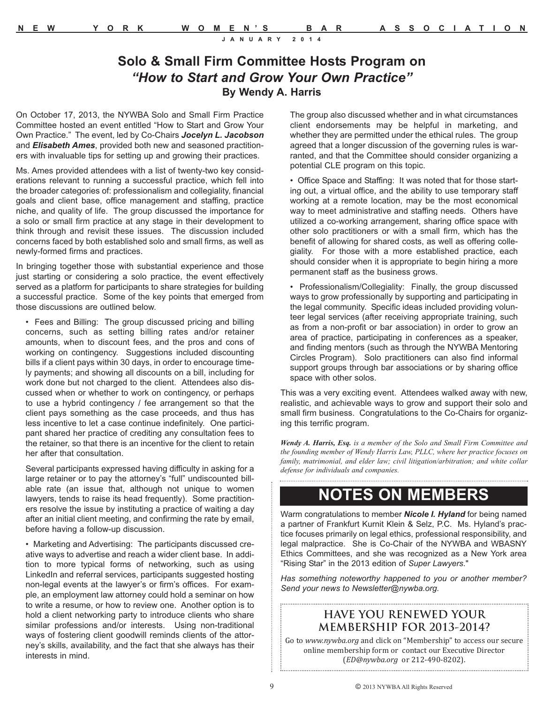# **Solo & Small Firm Committee Hosts Program on** *"How to Start and Grow Your Own Practice"* **By Wendy A. Harris**

On October 17, 2013, the NYWBA Solo and Small Firm Practice Committee hosted an event entitled "How to Start and Grow Your Own Practice." The event, led by Co-Chairs *Jocelyn L. Jacobson* and *Elisabeth Ames*, provided both new and seasoned practitioners with invaluable tips for setting up and growing their practices.

Ms. Ames provided attendees with a list of twenty-two key considerations relevant to running a successful practice, which fell into the broader categories of: professionalism and collegiality, financial goals and client base, office management and staffing, practice niche, and quality of life. The group discussed the importance for a solo or small firm practice at any stage in their development to think through and revisit these issues. The discussion included concerns faced by both established solo and small firms, as well as newly-formed firms and practices.

In bringing together those with substantial experience and those just starting or considering a solo practice, the event effectively served as a platform for participants to share strategies for building a successful practice. Some of the key points that emerged from those discussions are outlined below.

• Fees and Billing: The group discussed pricing and billing concerns, such as setting billing rates and/or retainer amounts, when to discount fees, and the pros and cons of working on contingency. Suggestions included discounting bills if a client pays within 30 days, in order to encourage timely payments; and showing all discounts on a bill, including for work done but not charged to the client. Attendees also discussed when or whether to work on contingency, or perhaps to use a hybrid contingency / fee arrangement so that the client pays something as the case proceeds, and thus has less incentive to let a case continue indefinitely. One participant shared her practice of crediting any consultation fees to the retainer, so that there is an incentive for the client to retain her after that consultation.

Several participants expressed having difficulty in asking for a large retainer or to pay the attorney's "full" undiscounted billable rate (an issue that, although not unique to women lawyers, tends to raise its head frequently). Some practitioners resolve the issue by instituting a practice of waiting a day after an initial client meeting, and confirming the rate by email, before having a follow-up discussion.

• Marketing and Advertising: The participants discussed creative ways to advertise and reach a wider client base. In addition to more typical forms of networking, such as using LinkedIn and referral services, participants suggested hosting non-legal events at the lawyer's or firm's offices. For example, an employment law attorney could hold a seminar on how to write a resume, or how to review one. Another option is to hold a client networking party to introduce clients who share similar professions and/or interests. Using non-traditional ways of fostering client goodwill reminds clients of the attorney's skills, availability, and the fact that she always has their interests in mind.

The group also discussed whether and in what circumstances client endorsements may be helpful in marketing, and whether they are permitted under the ethical rules. The group agreed that a longer discussion of the governing rules is warranted, and that the Committee should consider organizing a potential CLE program on this topic.

• Office Space and Staffing: It was noted that for those starting out, a virtual office, and the ability to use temporary staff working at a remote location, may be the most economical way to meet administrative and staffing needs. Others have utilized a co-working arrangement, sharing office space with other solo practitioners or with a small firm, which has the benefit of allowing for shared costs, as well as offering collegiality. For those with a more established practice, each should consider when it is appropriate to begin hiring a more permanent staff as the business grows.

• Professionalism/Collegiality: Finally, the group discussed ways to grow professionally by supporting and participating in the legal community. Specific ideas included providing volunteer legal services (after receiving appropriate training, such as from a non-profit or bar association) in order to grow an area of practice, participating in conferences as a speaker, and finding mentors (such as through the NYWBA Mentoring Circles Program). Solo practitioners can also find informal support groups through bar associations or by sharing office space with other solos.

This was a very exciting event. Attendees walked away with new, realistic, and achievable ways to grow and support their solo and small firm business. Congratulations to the Co-Chairs for organizing this terrific program.

*Wendy A. Harris, Esq. is a member of the Solo and Small Firm Committee and the founding member of Wendy Harris Law, PLLC, where her practice focuses on family, matrimonial, and elder law; civil litigation/arbitration; and white collar defense for individuals and companies.*

# **NOTES ON MEMBERS**

Warm congratulations to member *Nicole I. Hyland* for being named a partner of Frankfurt Kurnit Klein & Selz, P.C. Ms. Hyland's practice focuses primarily on legal ethics, professional responsibility, and legal malpractice. She is Co-Chair of the NYWBA and WBASNY Ethics Committees, and she was recognized as a New York area "Rising Star" in the 2013 edition of *Super Lawyers*."

*Has something noteworthy happened to you or another member? Send your news to Newsletter@nywba.org.*

### **HAVE YOU RENEWED YOUR MEMBERSHIP FOR 2013-2014?**

Go to *www.nywba.org* and click on "Membership" to access our secure online membership form or contact our Executive Director (*ED@nywba.org* or 212-490-8202).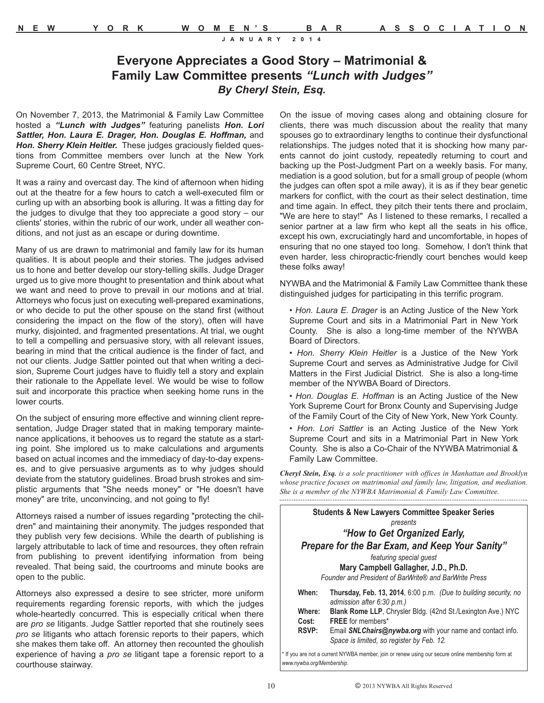# **Everyone Appreciates a Good Story – Matrimonial & Family Law Committee presents** *"Lunch with Judges" By Cheryl Stein, Esq.*

On November 7, 2013, the Matrimonial & Family Law Committee hosted a *"Lunch with Judges"* featuring panelists *Hon. Lori* Sattler, Hon. Laura E. Drager, Hon. Douglas E. Hoffman, and *Hon. Sherry Klein Heitler.* These judges graciously fielded questions from Committee members over lunch at the New York Supreme Court, 60 Centre Street, NYC.

It was a rainy and overcast day. The kind of afternoon when hiding out at the theatre for a few hours to catch a well-executed film or curling up with an absorbing book is alluring. It was a fitting day for the judges to divulge that they too appreciate a good story – our clients' stories, within the rubric of our work, under all weather conditions, and not just as an escape or during downtime.

Many of us are drawn to matrimonial and family law for its human qualities. It is about people and their stories. The judges advised us to hone and better develop our story-telling skills. Judge Drager urged us to give more thought to presentation and think about what we want and need to prove to prevail in our motions and at trial. Attorneys who focus just on executing well-prepared examinations, or who decide to put the other spouse on the stand first (without considering the impact on the flow of the story), often will have murky, disjointed, and fragmented presentations. At trial, we ought to tell a compelling and persuasive story, with all relevant issues, bearing in mind that the critical audience is the finder of fact, and not our clients. Judge Sattler pointed out that when writing a decision, Supreme Court judges have to fluidly tell a story and explain their rationale to the Appellate level. We would be wise to follow suit and incorporate this practice when seeking home runs in the lower courts.

On the subject of ensuring more effective and winning client representation, Judge Drager stated that in making temporary maintenance applications, it behooves us to regard the statute as a starting point. She implored us to make calculations and arguments based on actual incomes and the immediacy of day-to-day expenses, and to give persuasive arguments as to why judges should deviate from the statutory guidelines. Broad brush strokes and simplistic arguments that "She needs money" or "He doesn't have money" are trite, unconvincing, and not going to fly!

Attorneys raised a number of issues regarding "protecting the children" and maintaining their anonymity. The judges responded that they publish very few decisions. While the dearth of publishing is largely attributable to lack of time and resources, they often refrain from publishing to prevent identifying information from being revealed. That being said, the courtrooms and minute books are open to the public.

Attorneys also expressed a desire to see stricter, more uniform requirements regarding forensic reports, with which the judges whole-heartedly concurred. This is especially critical when there are *pro se* litigants. Judge Sattler reported that she routinely sees *pro se* litigants who attach forensic reports to their papers, which she makes them take off. An attorney then recounted the ghoulish experience of having a *pro se* litigant tape a forensic report to a courthouse stairway.

On the issue of moving cases along and obtaining closure for clients, there was much discussion about the reality that many spouses go to extraordinary lengths to continue their dysfunctional relationships. The judges noted that it is shocking how many parents cannot do joint custody, repeatedly returning to court and backing up the Post-Judgment Part on a weekly basis. For many, mediation is a good solution, but for a small group of people (whom the judges can often spot a mile away), it is as if they bear genetic markers for conflict, with the court as their select destination, time and time again. In effect, they pitch their tents there and proclaim, "We are here to stay!" As I listened to these remarks, I recalled a senior partner at a law firm who kept all the seats in his office, except his own, excruciatingly hard and uncomfortable, in hopes of ensuring that no one stayed too long. Somehow, I don't think that even harder, less chiropractic-friendly court benches would keep these folks away!

NYWBA and the Matrimonial & Family Law Committee thank these distinguished judges for participating in this terrific program.

• *Hon. Laura E. Drager* is an Acting Justice of the New York Supreme Court and sits in a Matrimonial Part in New York County. She is also a long-time member of the NYWBA Board of Directors.

• *Hon. Sherry Klein Heitler* is a Justice of the New York Supreme Court and serves as Administrative Judge for Civil Matters in the First Judicial District. She is also a long-time member of the NYWBA Board of Directors.

- *Hon. Douglas E. Hoffman* is an Acting Justice of the New York Supreme Court for Bronx County and Supervising Judge of the Family Court of the City of New York, New York County.
- *Hon. Lori Sattler* is an Acting Justice of the New York Supreme Court and sits in a Matrimonial Part in New York County. She is also a Co-Chair of the NYWBA Matrimonial & Family Law Committee.

*Cheryl Stein, Esq. is a sole practitioner with offices in Manhattan and Brooklyn whose practice focuses on matrimonial and family law, litigation, and mediation. She is a member of the NYWBA Matrimonial & Family Law Committee.*  

|                                                 | <b>Students &amp; New Lawyers Committee Speaker Series</b>                                                     |  |
|-------------------------------------------------|----------------------------------------------------------------------------------------------------------------|--|
| presents                                        |                                                                                                                |  |
|                                                 | "How to Get Organized Early,                                                                                   |  |
| Prepare for the Bar Exam, and Keep Your Sanity" |                                                                                                                |  |
|                                                 | featuring special quest                                                                                        |  |
| Mary Campbell Gallagher, J.D., Ph.D.            |                                                                                                                |  |
|                                                 | Founder and President of BarWrite® and BarWrite Press                                                          |  |
| When:                                           | Thursday, Feb. 13, 2014, 6:00 p.m. (Due to building security, no<br>admission after 6:30 p.m.)                 |  |
| Where:                                          | <b>Blank Rome LLP, Chrysler Bldg. (42nd St./Lexington Ave.) NYC</b>                                            |  |
| Cost:                                           | <b>FREE</b> for members*                                                                                       |  |
| <b>RSVP:</b>                                    | Email <b>SNLChairs@nywba.org</b> with your name and contact info.<br>Space is limited, so register by Feb. 12. |  |
|                                                 | vou are not a current NYWBA member, ioin or renew using our secure online membership form at                   |  |

\* If you are not a current NYWBA member, join or renew using our secure online membership form at *www.nywba.org/Membership*.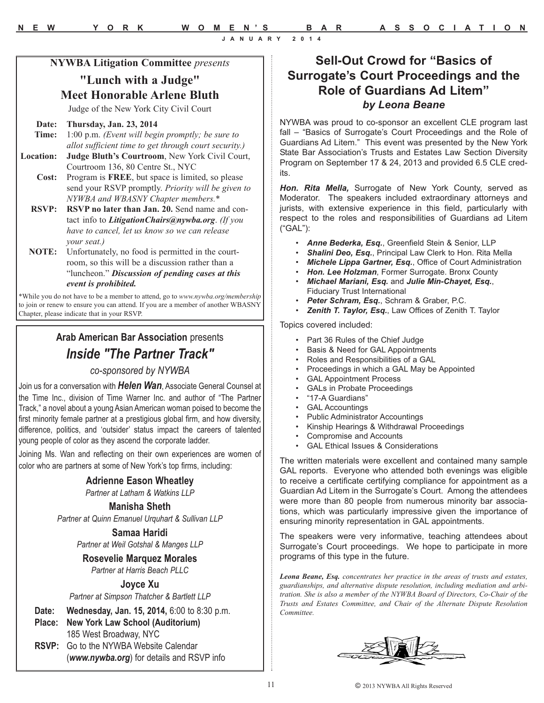### **NYWBA Litigation Committee** *presents*

### **"Lunch with a Judge" Meet Honorable Arlene Bluth**

Judge of the New York City Civil Court

#### **Date: Thursday, Jan. 23, 2014**

- **Time:** 1:00 p.m. *(Event will begin promptly; be sure to allot sufficient time to get through court security.)*
- **Location: Judge Bluth's Courtroom**, New York Civil Court, Courtroom 136, 80 Centre St., NYC
	- **Cost:** Program is **FREE**, but space is limited, so please send your RSVP promptly. *Priority will be given to NYWBA and WBASNY Chapter members.\**
	- **RSVP: RSVP no later than Jan. 20.** Send name and contact info to *LitigationChairs@nywba.org*. *(If you have to cancel, let us know so we can release your seat.)*
	- **NOTE:** Unfortunately, no food is permitted in the courtroom, so this will be a discussion rather than a "luncheon." *Discussion of pending cases at this event is prohibited.*

\*While you do not have to be a member to attend, go to *www.nywba.org/membership* to join or renew to ensure you can attend. If you are a member of another WBASNY Chapter, please indicate that in your RSVP.

# **Arab American Bar Association** presents *Inside "The Partner Track"*

### *co-sponsored by NYWBA*

Join us for a conversation with *Helen Wan*, Associate General Counsel at the Time Inc., division of Time Warner Inc. and author of "The Partner Track," a novel about a young Asian American woman poised to become the first minority female partner at a prestigious global firm, and how diversity, difference, politics, and 'outsider' status impact the careers of talented young people of color as they ascend the corporate ladder.

Joining Ms. Wan and reflecting on their own experiences are women of color who are partners at some of New York's top firms, including:

#### **Adrienne Eason Wheatley**

*Partner at Latham & Watkins LLP*

#### **Manisha Sheth**

*Partner at Quinn Emanuel Urquhart & Sullivan LLP*

#### **Samaa Haridi** *Partner at Weil Gotshal & Manges LLP*

**Rosevelie Marquez Morales**

# *Partner at Harris Beach PLLC*

# **Joyce Xu**

*Partner at Simpson Thatcher & Bartlett LLP*

- **Date: Wednesday, Jan. 15, 2014,** 6:00 to 8:30 p.m.
- **Place: New York Law School (Auditorium)** 185 West Broadway, NYC **RSVP:** Go to the NYWBA Website Calendar (*www.nywba.org*) for details and RSVP info

# **Sell-Out Crowd for "Basics of Surrogate's Court Proceedings and the Role of Guardians Ad Litem"** *by Leona Beane*

NYWBA was proud to co-sponsor an excellent CLE program last fall – "Basics of Surrogate's Court Proceedings and the Role of Guardians Ad Litem." This event was presented by the New York State Bar Association's Trusts and Estates Law Section Diversity Program on September 17 & 24, 2013 and provided 6.5 CLE credits.

*Hon. Rita Mella,* Surrogate of New York County, served as Moderator. The speakers included extraordinary attorneys and jurists, with extensive experience in this field, particularly with respect to the roles and responsibilities of Guardians ad Litem ("GAL"):

- *Anne Bederka, Esq.*, Greenfield Stein & Senior, LLP
- *Shalini Deo, Esq.*, Principal Law Clerk to Hon. Rita Mella
- *Michele Lippa Gartner, Esq.*, Office of Court Administration
- *Hon. Lee Holzman*, Former Surrogate. Bronx County • *Michael Mariani, Esq.* and *Julie Min-Chayet, Esq.*,
- Fiduciary Trust International
- *Peter Schram, Esq.*, Schram & Graber, P.C.
- *Zenith T. Taylor, Esq.*, Law Offices of Zenith T. Taylor

Topics covered included:

- Part 36 Rules of the Chief Judge
- Basis & Need for GAL Appointments
- Roles and Responsibilities of a GAL
- Proceedings in which a GAL May be Appointed
- GAL Appointment Process
- GALs in Probate Proceedings
- "17-A Guardians"<br>• GAL Accountings
- **GAL Accountings**
- Public Administrator Accountings
- Kinship Hearings & Withdrawal Proceedings
- Compromise and Accounts
- GAL Ethical Issues & Considerations

The written materials were excellent and contained many sample GAL reports. Everyone who attended both evenings was eligible to receive a certificate certifying compliance for appointment as a Guardian Ad Litem in the Surrogate's Court. Among the attendees were more than 80 people from numerous minority bar associations, which was particularly impressive given the importance of ensuring minority representation in GAL appointments.

The speakers were very informative, teaching attendees about Surrogate's Court proceedings. We hope to participate in more programs of this type in the future.

*Leona Beane, Esq. concentrates her practice in the areas of trusts and estates, guardianships, and alternative dispute resolution, including mediation and arbitration. She is also a member of the NYWBA Board of Directors, Co-Chair of the Trusts and Estates Committee, and Chair of the Alternate Dispute Resolution Committee.*